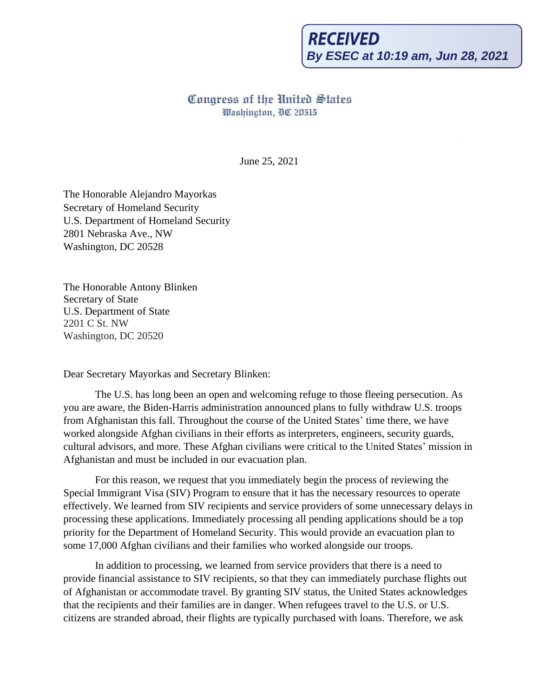## **RECEIVED By ESEC at 10:19 am, Jun 28, 2021**

## Congress nf the United States Washington, DC 20515

June 25, 2021

The Honorable Alejandro Mayorkas Secretary of Homeland Security U.S. Department of Homeland Security 2801 Nebraska Ave., NW Washington, DC 20528

The Honorable Antony Blinken Secretary of State U.S. Department of State 2201 C St. NW Washington, DC 20520

## Dear Secretary Mayorkas and Secretary Blinken:

The U.S. has long been an open and welcoming refuge to those fleeing persecution. As you are aware, the Biden-Harris administration announced plans to fully withdraw U.S. troops from Afghanistan this fall. Throughout the course of the United States' time there, we have worked alongside Afghan civilians in their efforts as interpreters, engineers, security guards, cultural advisors, and more. These Afghan civilians were critical to the United States' mission in Afghanistan and must be included in our evacuation plan.

For this reason, we request that you immediately begin the process of reviewing the Special Immigrant Visa (SIV) Program to ensure that it has the necessary resources to operate effectively. We learned from SIV recipients and service providers of some unnecessary delays in processing these applications. Immediately processing all pending applications should be a top priority for the Department of Homeland Security. This would provide an evacuation plan to some 17,000 Afghan civilians and their families who worked alongside our troops.

In addition to processing, we learned from service providers that there is a need to provide financial assistance to SIV recipients, so that they can immediately purchase flights out of Afghanistan or accommodate travel. By granting SIV status, the United States acknowledges that the recipients and their families are in danger. When refugees travel to the U.S. or U.S. citizens are stranded abroad, their flights are typically purchased with loans. Therefore, we ask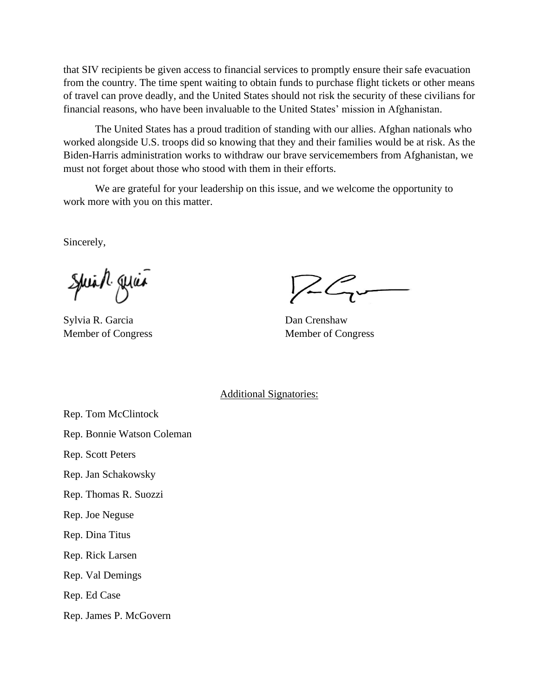that SIV recipients be given access to financial services to promptly ensure their safe evacuation from the country. The time spent waiting to obtain funds to purchase flight tickets or other means of travel can prove deadly, and the United States should not risk the security of these civilians for financial reasons, who have been invaluable to the United States' mission in Afghanistan.

The United States has a proud tradition of standing with our allies. Afghan nationals who worked alongside U.S. troops did so knowing that they and their families would be at risk. As the Biden-Harris administration works to withdraw our brave servicemembers from Afghanistan, we must not forget about those who stood with them in their efforts.

We are grateful for your leadership on this issue, and we welcome the opportunity to work more with you on this matter.

Sincerely,

Spiral quia

Sylvia R. Garcia Dan Crenshaw

Member of Congress Member of Congress

Additional Signatories:

Rep. Tom McClintock

Rep. Bonnie Watson Coleman

Rep. Scott Peters

Rep. Jan Schakowsky

Rep. Thomas R. Suozzi

Rep. Joe Neguse

Rep. Dina Titus

Rep. Rick Larsen

Rep. Val Demings

Rep. Ed Case

Rep. James P. McGovern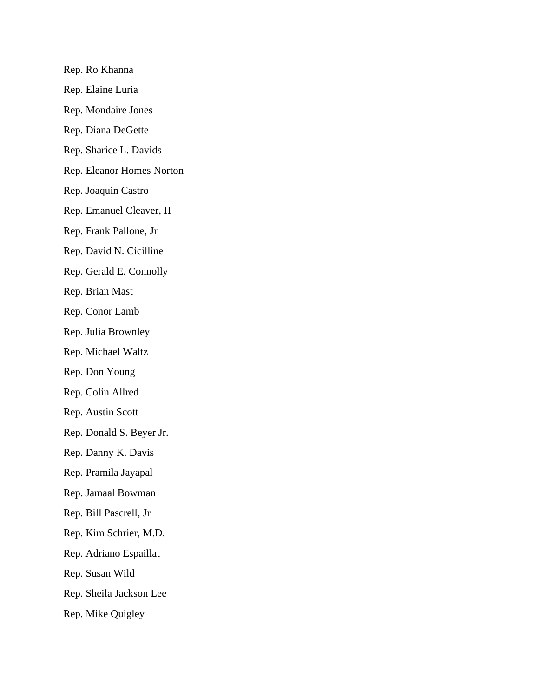Rep. Ro Khanna Rep. Elaine Luria Rep. Mondaire Jones Rep. Diana DeGette Rep. Sharice L. Davids Rep. Eleanor Homes Norton Rep. Joaquin Castro Rep. Emanuel Cleaver, II Rep. Frank Pallone, Jr Rep. David N. Cicilline Rep. Gerald E. Connolly Rep. Brian Mast Rep. Conor Lamb Rep. Julia Brownley Rep. Michael Waltz Rep. Don Young Rep. Colin Allred Rep. Austin Scott Rep. Donald S. Beyer Jr. Rep. Danny K. Davis Rep. Pramila Jayapal Rep. Jamaal Bowman Rep. Bill Pascrell, Jr Rep. Kim Schrier, M.D. Rep. Adriano Espaillat Rep. Susan Wild Rep. Sheila Jackson Lee Rep. Mike Quigley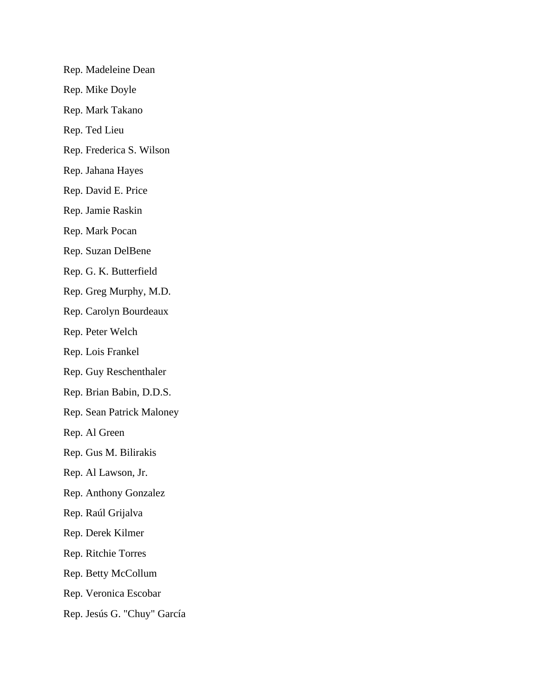Rep. Madeleine Dean Rep. Mike Doyle Rep. Mark Takano Rep. Ted Lieu Rep. Frederica S. Wilson Rep. Jahana Hayes Rep. David E. Price Rep. Jamie Raskin Rep. Mark Pocan Rep. Suzan DelBene Rep. G. K. Butterfield Rep. Greg Murphy, M.D. Rep. Carolyn Bourdeaux Rep. Peter Welch Rep. Lois Frankel Rep. Guy Reschenthaler Rep. Brian Babin, D.D.S. Rep. Sean Patrick Maloney Rep. Al Green Rep. Gus M. Bilirakis Rep. Al Lawson, Jr. Rep. Anthony Gonzalez Rep. Raúl Grijalva Rep. Derek Kilmer Rep. Ritchie Torres Rep. Betty McCollum Rep. Veronica Escobar Rep. Jesús G. "Chuy" García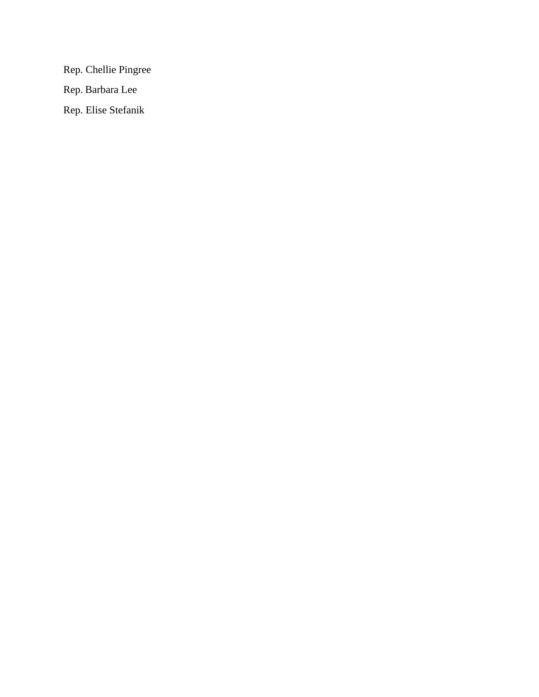Rep. Chellie Pingree Rep. Barbara Lee Rep. Elise Stefanik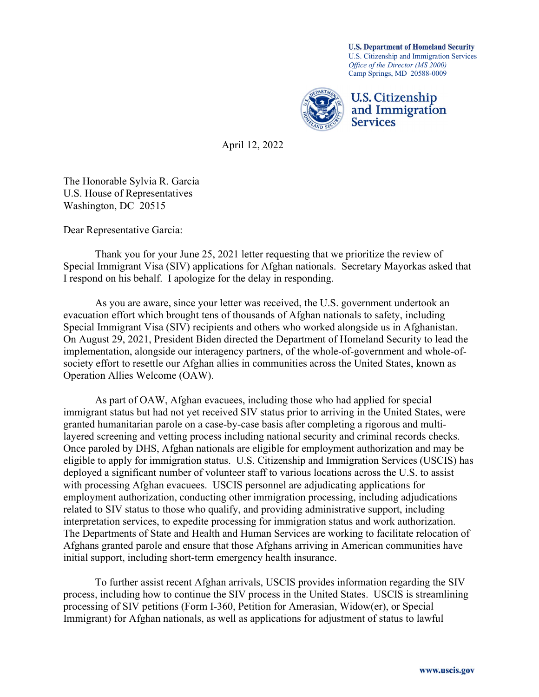U.S. Citizenship and Immigration Services Office of the Director (MS 2000) Camp Springs, MD 20588-0009 U.S. Department of Homeland Security



April 12, 2022

The Honorable Sylvia R. Garcia U.S. House of Representatives Washington, DC 20515

Dear Representative Garcia:

 Thank you for your June 25, 2021 letter requesting that we prioritize the review of Special Immigrant Visa (SIV) applications for Afghan nationals. Secretary Mayorkas asked that I respond on his behalf. I apologize for the delay in responding.

As you are aware, since your letter was received, the U.S. government undertook an evacuation effort which brought tens of thousands of Afghan nationals to safety, including Special Immigrant Visa (SIV) recipients and others who worked alongside us in Afghanistan. On August 29, 2021, President Biden directed the Department of Homeland Security to lead the implementation, alongside our interagency partners, of the whole-of-government and whole-ofsociety effort to resettle our Afghan allies in communities across the United States, known as Operation Allies Welcome (OAW).

As part of OAW, Afghan evacuees, including those who had applied for special immigrant status but had not yet received SIV status prior to arriving in the United States, were granted humanitarian parole on a case-by-case basis after completing a rigorous and multilayered screening and vetting process including national security and criminal records checks. Once paroled by DHS, Afghan nationals are eligible for employment authorization and may be eligible to apply for immigration status. U.S. Citizenship and Immigration Services (USCIS) has deployed a significant number of volunteer staff to various locations across the U.S. to assist with processing Afghan evacuees. USCIS personnel are adjudicating applications for employment authorization, conducting other immigration processing, including adjudications related to SIV status to those who qualify, and providing administrative support, including interpretation services, to expedite processing for immigration status and work authorization. The Departments of State and Health and Human Services are working to facilitate relocation of Afghans granted parole and ensure that those Afghans arriving in American communities have initial support, including short-term emergency health insurance.

To further assist recent Afghan arrivals, USCIS provides information regarding the SIV process, including how to continue the SIV process in the United States. USCIS is streamlining processing of SIV petitions (Form I-360, Petition for Amerasian, Widow(er), or Special Immigrant) for Afghan nationals, as well as applications for adjustment of status to lawful